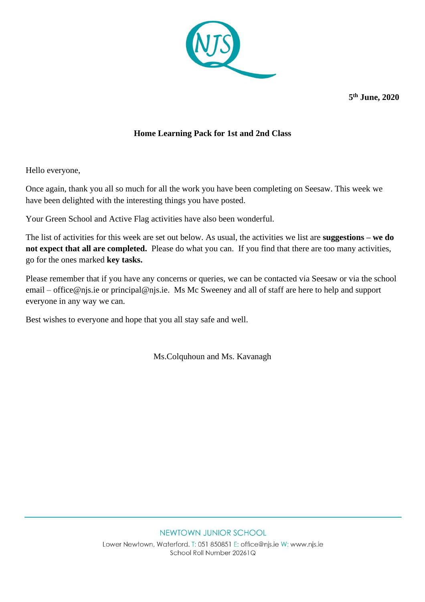

**5 th June, 2020**

### **Home Learning Pack for 1st and 2nd Class**

Hello everyone,

Once again, thank you all so much for all the work you have been completing on Seesaw. This week we have been delighted with the interesting things you have posted.

Your Green School and Active Flag activities have also been wonderful.

The list of activities for this week are set out below. As usual, the activities we list are **suggestions – we do not expect that all are completed.** Please do what you can. If you find that there are too many activities, go for the ones marked **key tasks.** 

Please remember that if you have any concerns or queries, we can be contacted via Seesaw or via the school email – [office@njs.ie](mailto:office@njs.ie) or [principal@njs.ie.](mailto:principal@njs.ie) Ms Mc Sweeney and all of staff are here to help and support everyone in any way we can.

Best wishes to everyone and hope that you all stay safe and well.

Ms.Colquhoun and Ms. Kavanagh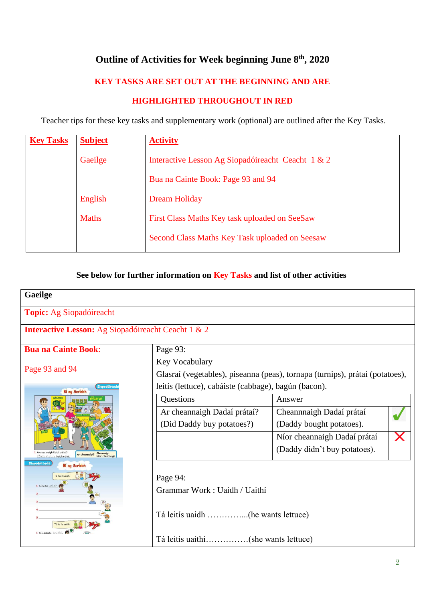# **Outline of Activities for Week beginning June 8 th, 2020**

### **KEY TASKS ARE SET OUT AT THE BEGINNING AND ARE**

#### **HIGHLIGHTED THROUGHOUT IN RED**

Teacher tips for these key tasks and supplementary work (optional) are outlined after the Key Tasks.

| <b>Key Tasks</b> | <b>Subject</b> | <b>Activity</b>                                   |
|------------------|----------------|---------------------------------------------------|
|                  | Gaeilge        | Interactive Lesson Ag Siopadóireacht Ceacht 1 & 2 |
|                  |                | Bua na Cainte Book: Page 93 and 94                |
|                  | English        | Dream Holiday                                     |
|                  | <b>Maths</b>   | First Class Maths Key task uploaded on SeeSaw     |
|                  |                | Second Class Maths Key Task uploaded on Seesaw    |

#### **See below for further information on Key Tasks and list of other activities**

| Gaeilge                                                                                    |                                                                              |                                   |  |  |  |
|--------------------------------------------------------------------------------------------|------------------------------------------------------------------------------|-----------------------------------|--|--|--|
| <b>Topic:</b> Ag Siopadóireacht                                                            |                                                                              |                                   |  |  |  |
| <b>Interactive Lesson:</b> Ag Siopadóireacht Ceacht 1 & 2                                  |                                                                              |                                   |  |  |  |
| <b>Bua na Cainte Book:</b>                                                                 | Page 93:                                                                     |                                   |  |  |  |
|                                                                                            | <b>Key Vocabulary</b>                                                        |                                   |  |  |  |
| Page 93 and 94                                                                             | Glasraí (vegetables), piseanna (peas), tornapa (turnips), prátaí (potatoes), |                                   |  |  |  |
| Siopadóireac<br>Bí ag Scríobh                                                              | leitís (lettuce), cabáiste (cabbage), bagún (bacon).                         |                                   |  |  |  |
|                                                                                            | Questions                                                                    | Answer                            |  |  |  |
|                                                                                            | Ar cheannaigh Dadaí prátaí?                                                  | Cheannnaigh Dadaí prátaí          |  |  |  |
|                                                                                            | (Did Daddy buy potatoes?)                                                    | (Daddy bought potatoes).          |  |  |  |
|                                                                                            |                                                                              | Níor cheannaigh Dadaí prátaí<br>X |  |  |  |
| Ar cheannaigh Daidí prátaí:<br>Cheannaig<br>Ar cheannaigh?<br>Nior cheann<br>Daidí prátaí. |                                                                              | (Daddy didn't buy potatoes).      |  |  |  |
| ionadóireach<br>Bí ag Scríobh                                                              |                                                                              |                                   |  |  |  |
| Tá feoil uaidh                                                                             | Page 94:                                                                     |                                   |  |  |  |
|                                                                                            | Grammar Work: Uaidh / Uaithí                                                 |                                   |  |  |  |
|                                                                                            |                                                                              |                                   |  |  |  |
|                                                                                            |                                                                              |                                   |  |  |  |
|                                                                                            |                                                                              |                                   |  |  |  |
|                                                                                            | Tá leitís uaithi(she wants lettuce)                                          |                                   |  |  |  |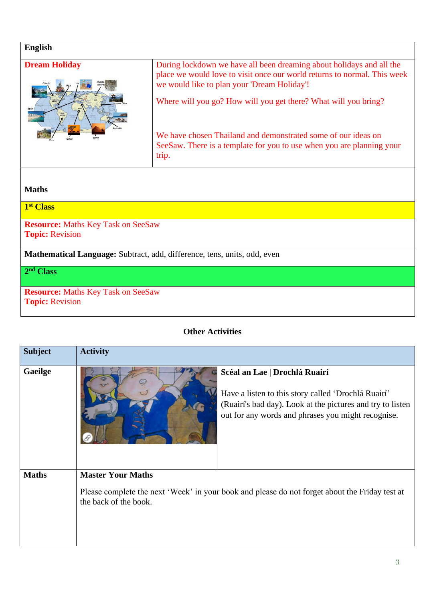| <b>English</b>                                                           |                                                                                                                                                                                                                                                                                                                                     |  |  |  |
|--------------------------------------------------------------------------|-------------------------------------------------------------------------------------------------------------------------------------------------------------------------------------------------------------------------------------------------------------------------------------------------------------------------------------|--|--|--|
| <b>Dream Holiday</b>                                                     | During lockdown we have all been dreaming about holidays and all the<br>place we would love to visit once our world returns to normal. This week<br>we would like to plan your 'Dream Holiday'!<br>Where will you go? How will you get there? What will you bring?<br>We have chosen Thailand and demonstrated some of our ideas on |  |  |  |
|                                                                          | SeeSaw. There is a template for you to use when you are planning your<br>trip.                                                                                                                                                                                                                                                      |  |  |  |
|                                                                          |                                                                                                                                                                                                                                                                                                                                     |  |  |  |
| <b>Maths</b>                                                             |                                                                                                                                                                                                                                                                                                                                     |  |  |  |
| 1 <sup>st</sup> Class                                                    |                                                                                                                                                                                                                                                                                                                                     |  |  |  |
| <b>Resource:</b> Maths Key Task on SeeSaw<br><b>Topic: Revision</b>      |                                                                                                                                                                                                                                                                                                                                     |  |  |  |
| Mathematical Language: Subtract, add, difference, tens, units, odd, even |                                                                                                                                                                                                                                                                                                                                     |  |  |  |
| 2 <sup>nd</sup> Class                                                    |                                                                                                                                                                                                                                                                                                                                     |  |  |  |
| <b>Resource:</b> Maths Key Task on SeeSaw<br><b>Topic: Revision</b>      |                                                                                                                                                                                                                                                                                                                                     |  |  |  |

## **Other Activities**

| <b>Subject</b> | <b>Activity</b>                                                                                                                                                                                          |  |
|----------------|----------------------------------------------------------------------------------------------------------------------------------------------------------------------------------------------------------|--|
| Gaeilge        | Scéal an Lae   Drochlá Ruairí<br>Have a listen to this story called 'Drochlá Ruairí'<br>(Ruairí's bad day). Look at the pictures and try to listen<br>out for any words and phrases you might recognise. |  |
| <b>Maths</b>   | <b>Master Your Maths</b><br>Please complete the next 'Week' in your book and please do not forget about the Friday test at<br>the back of the book.                                                      |  |

ï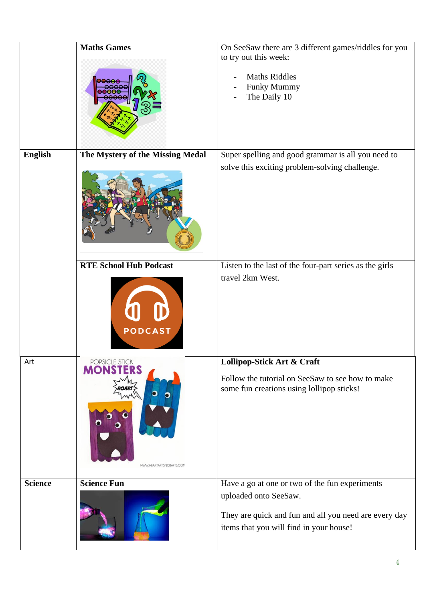|                | <b>Maths Games</b>                              | On SeeSaw there are 3 different games/riddles for you<br>to try out this week:<br><b>Maths Riddles</b><br>Funky Mummy<br>The Daily 10                                       |
|----------------|-------------------------------------------------|-----------------------------------------------------------------------------------------------------------------------------------------------------------------------------|
| <b>English</b> | The Mystery of the Missing Medal                | Super spelling and good grammar is all you need to<br>solve this exciting problem-solving challenge.                                                                        |
|                | <b>RTE School Hub Podcast</b><br><b>PODCAST</b> | Listen to the last of the four-part series as the girls<br>travel 2km West.                                                                                                 |
| Art            | POPSICLE STICK<br>WWW.IHEARTARTSNCRAFTS.COM     | Lollipop-Stick Art & Craft<br>Follow the tutorial on SeeSaw to see how to make<br>some fun creations using lollipop sticks!                                                 |
| <b>Science</b> | <b>Science Fun</b>                              | Have a go at one or two of the fun experiments<br>uploaded onto SeeSaw.<br>They are quick and fun and all you need are every day<br>items that you will find in your house! |